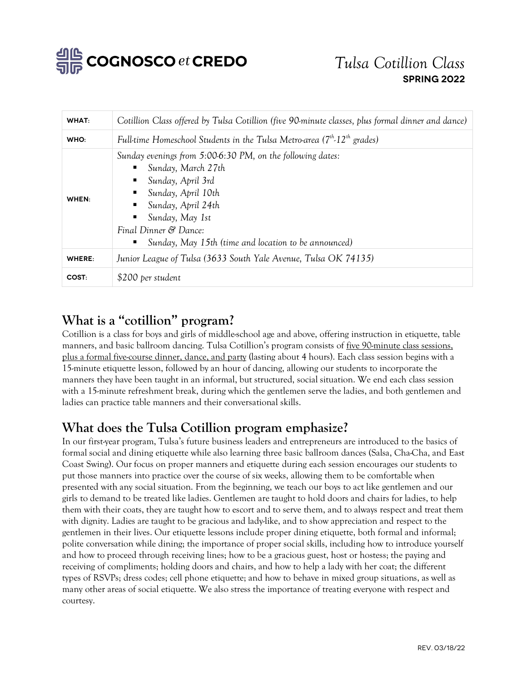

| WHAT:  | Cotillion Class offered by Tulsa Cotillion (five 90 minute classes, plus formal dinner and dance)                                                                                                                                                                                        |
|--------|------------------------------------------------------------------------------------------------------------------------------------------------------------------------------------------------------------------------------------------------------------------------------------------|
| WHO:   | Full-time Homeschool Students in the Tulsa Metro-area $(7th$ -12 <sup>th</sup> grades)                                                                                                                                                                                                   |
| WHEN:  | Sunday evenings from 5:00-6:30 PM, on the following dates:<br>Sunday, March 27th<br>п<br>Sunday, April 3rd<br>٠<br>$\blacksquare$ Sunday, April 10th<br>Sunday, April 24th<br>Sunday, May 1st<br>п<br>Final Dinner & Dance:<br>Sunday, May 15th (time and location to be announced)<br>ш |
| WHERE: | Junior League of Tulsa (3633 South Yale Avenue, Tulsa OK 74135)                                                                                                                                                                                                                          |
| COST:  | \$200 per student                                                                                                                                                                                                                                                                        |

## **What is a "cotillion" program?**

Cotillion is a class for boys and girls of middle-school age and above, offering instruction in etiquette, table manners, and basic ballroom dancing. Tulsa Cotillion's program consists of five 90-minute class sessions, plus a formal five-course dinner, dance, and party (lasting about 4 hours). Each class session begins with a 15-minute etiquette lesson, followed by an hour of dancing, allowing our students to incorporate the manners they have been taught in an informal, but structured, social situation. We end each class session with a 15-minute refreshment break, during which the gentlemen serve the ladies, and both gentlemen and ladies can practice table manners and their conversational skills.

### **What does the Tulsa Cotillion program emphasize?**

In our first-year program, Tulsa's future business leaders and entrepreneurs are introduced to the basics of formal social and dining etiquette while also learning three basic ballroom dances (Salsa, Cha-Cha, and East Coast Swing). Our focus on proper manners and etiquette during each session encourages our students to put those manners into practice over the course of six weeks, allowing them to be comfortable when presented with any social situation. From the beginning, we teach our boys to act like gentlemen and our girls to demand to be treated like ladies. Gentlemen are taught to hold doors and chairs for ladies, to help them with their coats, they are taught how to escort and to serve them, and to always respect and treat them with dignity. Ladies are taught to be gracious and lady-like, and to show appreciation and respect to the gentlemen in their lives. Our etiquette lessons include proper dining etiquette, both formal and informal; polite conversation while dining; the importance of proper social skills, including how to introduce yourself and how to proceed through receiving lines; how to be a gracious guest, host or hostess; the paying and receiving of compliments; holding doors and chairs, and how to help a lady with her coat; the different types of RSVPs; dress codes; cell phone etiquette; and how to behave in mixed group situations, as well as many other areas of social etiquette. We also stress the importance of treating everyone with respect and courtesy.